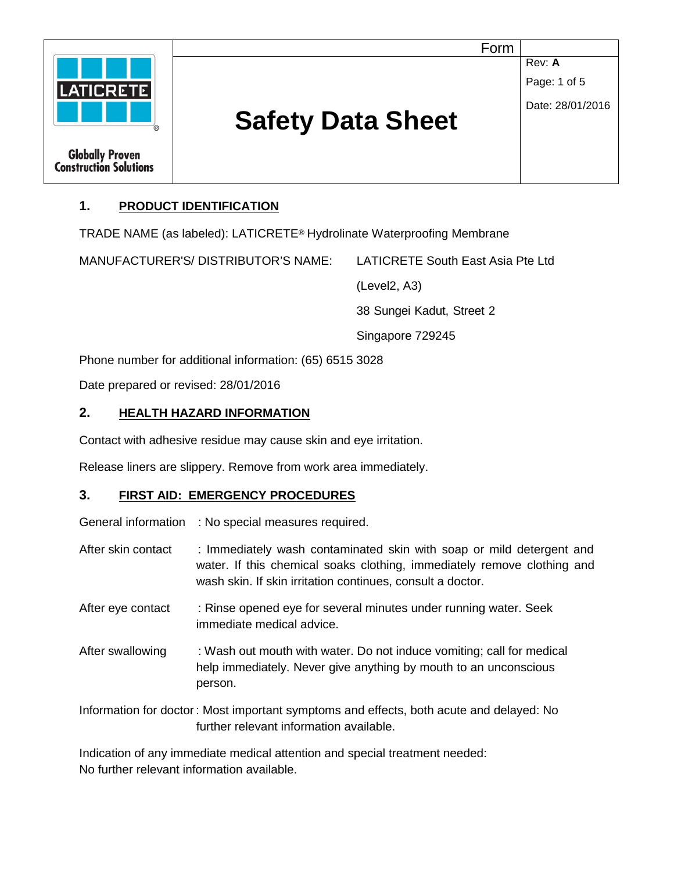

# **1. PRODUCT IDENTIFICATION**

TRADE NAME (as labeled): LATICRETE® Hydrolinate Waterproofing Membrane

MANUFACTURER'S/ DISTRIBUTOR'S NAME: LATICRETE South East Asia Pte Ltd

(Level2, A3)

38 Sungei Kadut, Street 2

Singapore 729245

Phone number for additional information: (65) 6515 3028

Date prepared or revised: 28/01/2016

## **2. HEALTH HAZARD INFORMATION**

Contact with adhesive residue may cause skin and eye irritation.

Release liners are slippery. Remove from work area immediately.

## **3. FIRST AID: EMERGENCY PROCEDURES**

General information : No special measures required.

- After skin contact : Immediately wash contaminated skin with soap or mild detergent and water. If this chemical soaks clothing, immediately remove clothing and wash skin. If skin irritation continues, consult a doctor.
- After eye contact : Rinse opened eye for several minutes under running water. Seek immediate medical advice.
- After swallowing : Wash out mouth with water. Do not induce vomiting; call for medical help immediately. Never give anything by mouth to an unconscious person.
- Information for doctor: Most important symptoms and effects, both acute and delayed: No further relevant information available.

Indication of any immediate medical attention and special treatment needed: No further relevant information available.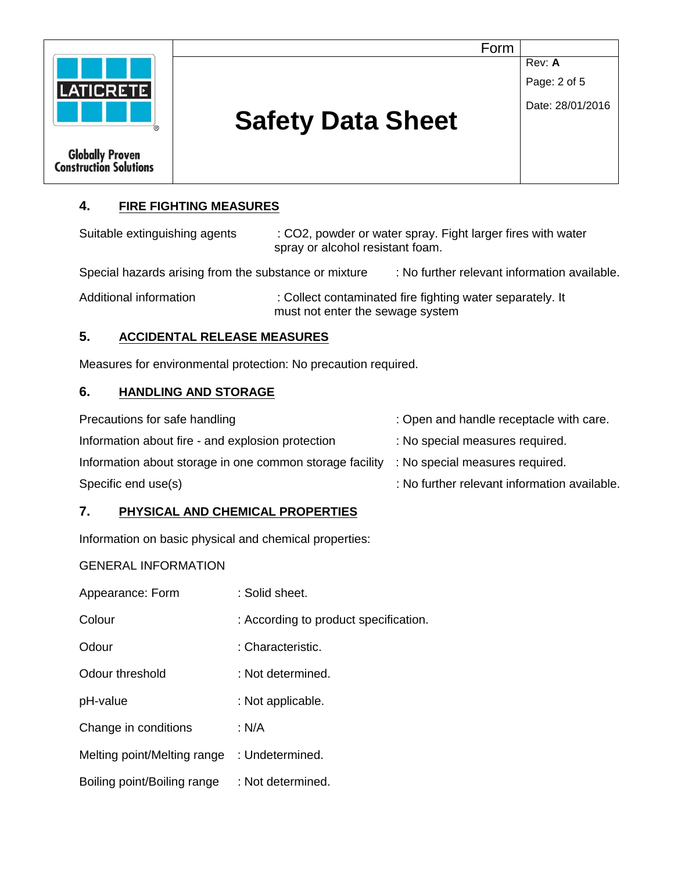|                                                  | Form                     |                  |
|--------------------------------------------------|--------------------------|------------------|
| I<br>H                                           |                          | Rev: A           |
| <b>LATICRETE</b>                                 |                          | Page: 2 of 5     |
|                                                  | <b>Safety Data Sheet</b> | Date: 28/01/2016 |
| <b>Globally Proven</b><br>Construction Solutions |                          |                  |

# **4. FIRE FIGHTING MEASURES**

| Suitable extinguishing agents | : CO2, powder or water spray. Fight larger fires with water |
|-------------------------------|-------------------------------------------------------------|
|                               | spray or alcohol resistant foam.                            |

Special hazards arising from the substance or mixture : No further relevant information available.

Additional information : Collect contaminated fire fighting water separately. It must not enter the sewage system

## **5. ACCIDENTAL RELEASE MEASURES**

Measures for environmental protection: No precaution required.

#### **6. HANDLING AND STORAGE**

| Precautions for safe handling                            | : Open and handle receptacle with care.      |
|----------------------------------------------------------|----------------------------------------------|
| Information about fire - and explosion protection        | : No special measures required.              |
| Information about storage in one common storage facility | : No special measures required.              |
| Specific end use(s)                                      | : No further relevant information available. |

## **7. PHYSICAL AND CHEMICAL PROPERTIES**

Information on basic physical and chemical properties:

## GENERAL INFORMATION

| Appearance: Form            | : Solid sheet.                        |
|-----------------------------|---------------------------------------|
| Colour                      | : According to product specification. |
| Odour                       | : Characteristic.                     |
| Odour threshold             | : Not determined.                     |
| pH-value                    | : Not applicable.                     |
| Change in conditions        | : N/A                                 |
| Melting point/Melting range | : Undetermined.                       |
| Boiling point/Boiling range | : Not determined.                     |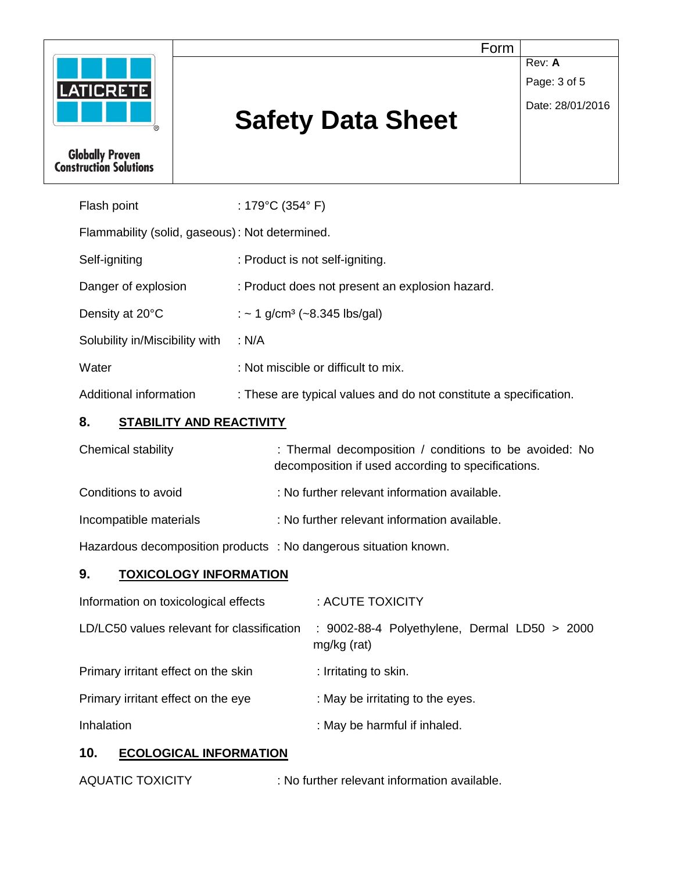

Flammability (solid, gaseous): Not determined.

| Self-igniting                  | : Product is not self-igniting.                                   |
|--------------------------------|-------------------------------------------------------------------|
| Danger of explosion            | : Product does not present an explosion hazard.                   |
| Density at 20°C                | : $\sim$ 1 g/cm <sup>3</sup> ( $\sim$ 8.345 lbs/gal)              |
| Solubility in/Miscibility with | : N/A                                                             |
| Water                          | : Not miscible or difficult to mix.                               |
| Additional information         | : These are typical values and do not constitute a specification. |

# **8. STABILITY AND REACTIVITY**

| Chemical stability     | : Thermal decomposition / conditions to be avoided: No<br>decomposition if used according to specifications. |
|------------------------|--------------------------------------------------------------------------------------------------------------|
| Conditions to avoid    | : No further relevant information available.                                                                 |
| Incompatible materials | : No further relevant information available.                                                                 |

Hazardous decomposition products : No dangerous situation known.

## **9. TOXICOLOGY INFORMATION**

| Information on toxicological effects       | : ACUTE TOXICITY                                            |
|--------------------------------------------|-------------------------------------------------------------|
| LD/LC50 values relevant for classification | : 9002-88-4 Polyethylene, Dermal LD50 > 2000<br>mg/kg (rat) |
| Primary irritant effect on the skin        | : Irritating to skin.                                       |
| Primary irritant effect on the eye         | : May be irritating to the eyes.                            |
| Inhalation                                 | : May be harmful if inhaled.                                |
|                                            |                                                             |

## **10. ECOLOGICAL INFORMATION**

```
AQUATIC TOXICITY : No further relevant information available.
```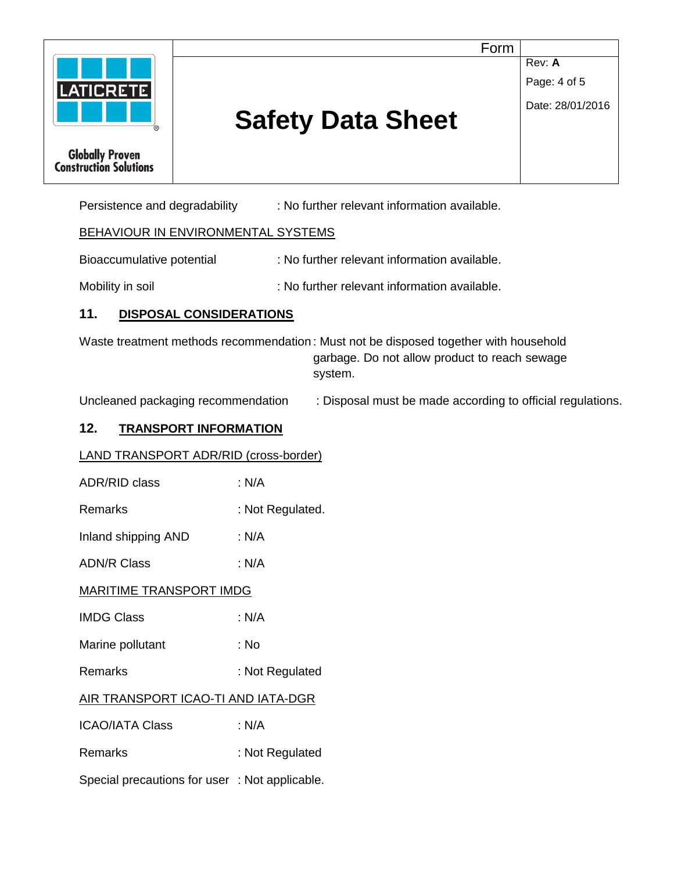

Persistence and degradability : No further relevant information available.

## BEHAVIOUR IN ENVIRONMENTAL SYSTEMS

Bioaccumulative potential : No further relevant information available.

Mobility in soil **Mobility** in soil  $\blacksquare$  : No further relevant information available.

## **11. DISPOSAL CONSIDERATIONS**

Waste treatment methods recommendation : Must not be disposed together with household garbage. Do not allow product to reach sewage system.

Uncleaned packaging recommendation : Disposal must be made according to official regulations.

#### **12. TRANSPORT INFORMATION**

#### LAND TRANSPORT ADR/RID (cross-border)

- ADR/RID class : N/A
- Remarks : Not Regulated.

Inland shipping AND : N/A

ADN/R Class : N/A

#### MARITIME TRANSPORT IMDG

IMDG Class : N/A

Marine pollutant : No

Remarks : Not Regulated

## AIR TRANSPORT ICAO-TI AND IATA-DGR

ICAO/IATA Class : N/A

Remarks : Not Regulated

Special precautions for user : Not applicable.